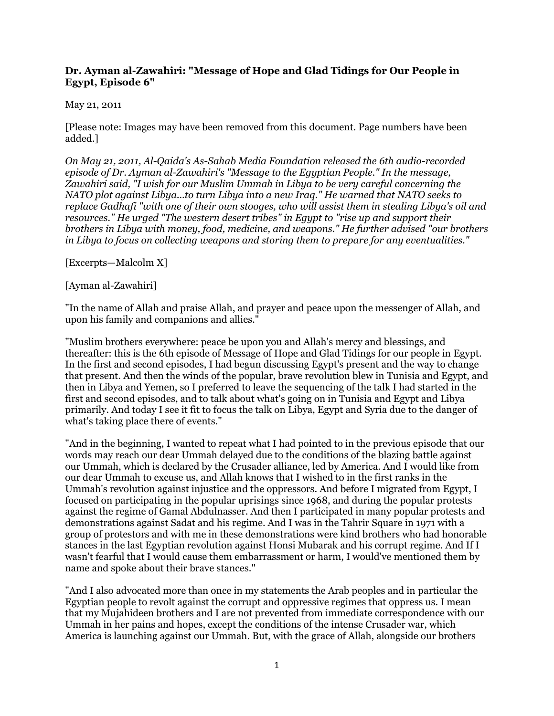## **Dr. Ayman al-Zawahiri: "Message of Hope and Glad Tidings for Our People in Egypt, Episode 6"**

## May 21, 2011

[Please note: Images may have been removed from this document. Page numbers have been added.]

*On May 21, 2011, Al-Qaida's As-Sahab Media Foundation released the 6th audio-recorded episode of Dr. Ayman al-Zawahiri's "Message to the Egyptian People." In the message, Zawahiri said, "I wish for our Muslim Ummah in Libya to be very careful concerning the NATO plot against Libya...to turn Libya into a new Iraq." He warned that NATO seeks to replace Gadhafi "with one of their own stooges, who will assist them in stealing Libya's oil and resources." He urged "The western desert tribes" in Egypt to "rise up and support their brothers in Libya with money, food, medicine, and weapons." He further advised "our brothers in Libya to focus on collecting weapons and storing them to prepare for any eventualities."*

[Excerpts—Malcolm X]

## [Ayman al-Zawahiri]

"In the name of Allah and praise Allah, and prayer and peace upon the messenger of Allah, and upon his family and companions and allies."

"Muslim brothers everywhere: peace be upon you and Allah's mercy and blessings, and thereafter: this is the 6th episode of Message of Hope and Glad Tidings for our people in Egypt. In the first and second episodes, I had begun discussing Egypt's present and the way to change that present. And then the winds of the popular, brave revolution blew in Tunisia and Egypt, and then in Libya and Yemen, so I preferred to leave the sequencing of the talk I had started in the first and second episodes, and to talk about what's going on in Tunisia and Egypt and Libya primarily. And today I see it fit to focus the talk on Libya, Egypt and Syria due to the danger of what's taking place there of events."

"And in the beginning, I wanted to repeat what I had pointed to in the previous episode that our words may reach our dear Ummah delayed due to the conditions of the blazing battle against our Ummah, which is declared by the Crusader alliance, led by America. And I would like from our dear Ummah to excuse us, and Allah knows that I wished to in the first ranks in the Ummah's revolution against injustice and the oppressors. And before I migrated from Egypt, I focused on participating in the popular uprisings since 1968, and during the popular protests against the regime of Gamal Abdulnasser. And then I participated in many popular protests and demonstrations against Sadat and his regime. And I was in the Tahrir Square in 1971 with a group of protestors and with me in these demonstrations were kind brothers who had honorable stances in the last Egyptian revolution against Honsi Mubarak and his corrupt regime. And If I wasn't fearful that I would cause them embarrassment or harm, I would've mentioned them by name and spoke about their brave stances."

"And I also advocated more than once in my statements the Arab peoples and in particular the Egyptian people to revolt against the corrupt and oppressive regimes that oppress us. I mean that my Mujahideen brothers and I are not prevented from immediate correspondence with our Ummah in her pains and hopes, except the conditions of the intense Crusader war, which America is launching against our Ummah. But, with the grace of Allah, alongside our brothers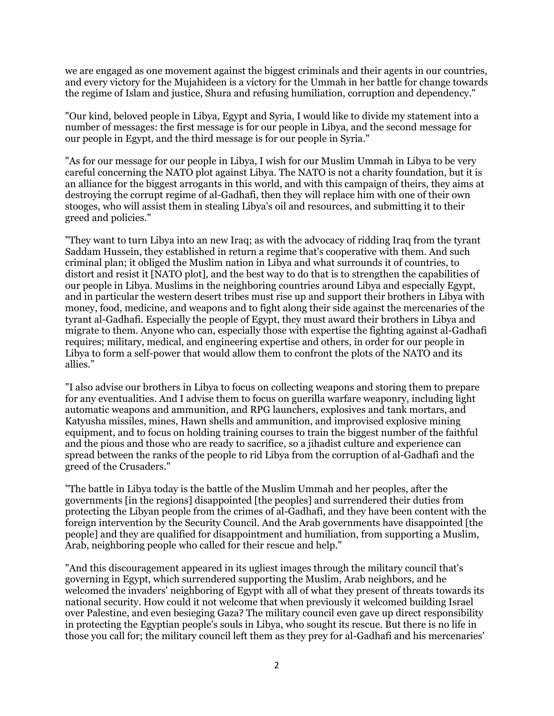we are engaged as one movement against the biggest criminals and their agents in our countries, and every victory for the Mujahideen is a victory for the Ummah in her battle for change towards the regime of Islam and justice, Shura and refusing humiliation, corruption and dependency."

"Our kind, beloved people in Libya, Egypt and Syria, I would like to divide my statement into a number of messages: the first message is for our people in Libya, and the second message for our people in Egypt, and the third message is for our people in Syria."

"As for our message for our people in Libya, I wish for our Muslim Ummah in Libya to be very careful concerning the NATO plot against Libya. The NATO is not a charity foundation, but it is an alliance for the biggest arrogants in this world, and with this campaign of theirs, they aims at destroying the corrupt regime of al-Gadhafi, then they will replace him with one of their own stooges, who will assist them in stealing Libya's oil and resources, and submitting it to their greed and policies."

"They want to turn Libya into an new Iraq; as with the advocacy of ridding Iraq from the tyrant Saddam Hussein, they established in return a regime that's cooperative with them. And such criminal plan; it obliged the Muslim nation in Libya and what surrounds it of countries, to distort and resist it [NATO plot], and the best way to do that is to strengthen the capabilities of our people in Libya. Muslims in the neighboring countries around Libya and especially Egypt, and in particular the western desert tribes must rise up and support their brothers in Libya with money, food, medicine, and weapons and to fight along their side against the mercenaries of the tyrant al-Gadhafi. Especially the people of Egypt, they must award their brothers in Libya and migrate to them. Anyone who can, especially those with expertise the fighting against al-Gadhafi requires; military, medical, and engineering expertise and others, in order for our people in Libya to form a self-power that would allow them to confront the plots of the NATO and its allies."

"I also advise our brothers in Libya to focus on collecting weapons and storing them to prepare for any eventualities. And I advise them to focus on guerilla warfare weaponry, including light automatic weapons and ammunition, and RPG launchers, explosives and tank mortars, and Katyusha missiles, mines, Hawn shells and ammunition, and improvised explosive mining equipment, and to focus on holding training courses to train the biggest number of the faithful and the pious and those who are ready to sacrifice, so a jihadist culture and experience can spread between the ranks of the people to rid Libya from the corruption of al-Gadhafi and the greed of the Crusaders."

"The battle in Libya today is the battle of the Muslim Ummah and her peoples, after the governments [in the regions] disappointed [the peoples] and surrendered their duties from protecting the Libyan people from the crimes of al-Gadhafi, and they have been content with the foreign intervention by the Security Council. And the Arab governments have disappointed [the people] and they are qualified for disappointment and humiliation, from supporting a Muslim, Arab, neighboring people who called for their rescue and help."

"And this discouragement appeared in its ugliest images through the military council that's governing in Egypt, which surrendered supporting the Muslim, Arab neighbors, and he welcomed the invaders' neighboring of Egypt with all of what they present of threats towards its national security. How could it not welcome that when previously it welcomed building Israel over Palestine, and even besieging Gaza? The military council even gave up direct responsibility in protecting the Egyptian people's souls in Libya, who sought its rescue. But there is no life in those you call for; the military council left them as they prey for al-Gadhafi and his mercenaries'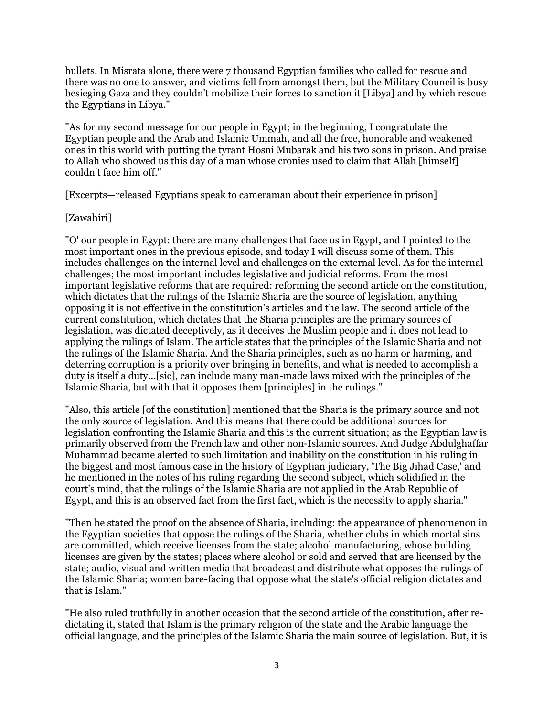bullets. In Misrata alone, there were 7 thousand Egyptian families who called for rescue and there was no one to answer, and victims fell from amongst them, but the Military Council is busy besieging Gaza and they couldn't mobilize their forces to sanction it [Libya] and by which rescue the Egyptians in Libya."

"As for my second message for our people in Egypt; in the beginning, I congratulate the Egyptian people and the Arab and Islamic Ummah, and all the free, honorable and weakened ones in this world with putting the tyrant Hosni Mubarak and his two sons in prison. And praise to Allah who showed us this day of a man whose cronies used to claim that Allah [himself] couldn't face him off."

[Excerpts—released Egyptians speak to cameraman about their experience in prison]

## [Zawahiri]

"O' our people in Egypt: there are many challenges that face us in Egypt, and I pointed to the most important ones in the previous episode, and today I will discuss some of them. This includes challenges on the internal level and challenges on the external level. As for the internal challenges; the most important includes legislative and judicial reforms. From the most important legislative reforms that are required: reforming the second article on the constitution, which dictates that the rulings of the Islamic Sharia are the source of legislation, anything opposing it is not effective in the constitution's articles and the law. The second article of the current constitution, which dictates that the Sharia principles are the primary sources of legislation, was dictated deceptively, as it deceives the Muslim people and it does not lead to applying the rulings of Islam. The article states that the principles of the Islamic Sharia and not the rulings of the Islamic Sharia. And the Sharia principles, such as no harm or harming, and deterring corruption is a priority over bringing in benefits, and what is needed to accomplish a duty is itself a duty...[sic], can include many man-made laws mixed with the principles of the Islamic Sharia, but with that it opposes them [principles] in the rulings."

"Also, this article [of the constitution] mentioned that the Sharia is the primary source and not the only source of legislation. And this means that there could be additional sources for legislation confronting the Islamic Sharia and this is the current situation; as the Egyptian law is primarily observed from the French law and other non-Islamic sources. And Judge Abdulghaffar Muhammad became alerted to such limitation and inability on the constitution in his ruling in the biggest and most famous case in the history of Egyptian judiciary, 'The Big Jihad Case,' and he mentioned in the notes of his ruling regarding the second subject, which solidified in the court's mind, that the rulings of the Islamic Sharia are not applied in the Arab Republic of Egypt, and this is an observed fact from the first fact, which is the necessity to apply sharia."

"Then he stated the proof on the absence of Sharia, including: the appearance of phenomenon in the Egyptian societies that oppose the rulings of the Sharia, whether clubs in which mortal sins are committed, which receive licenses from the state; alcohol manufacturing, whose building licenses are given by the states; places where alcohol or sold and served that are licensed by the state; audio, visual and written media that broadcast and distribute what opposes the rulings of the Islamic Sharia; women bare-facing that oppose what the state's official religion dictates and that is Islam."

"He also ruled truthfully in another occasion that the second article of the constitution, after redictating it, stated that Islam is the primary religion of the state and the Arabic language the official language, and the principles of the Islamic Sharia the main source of legislation. But, it is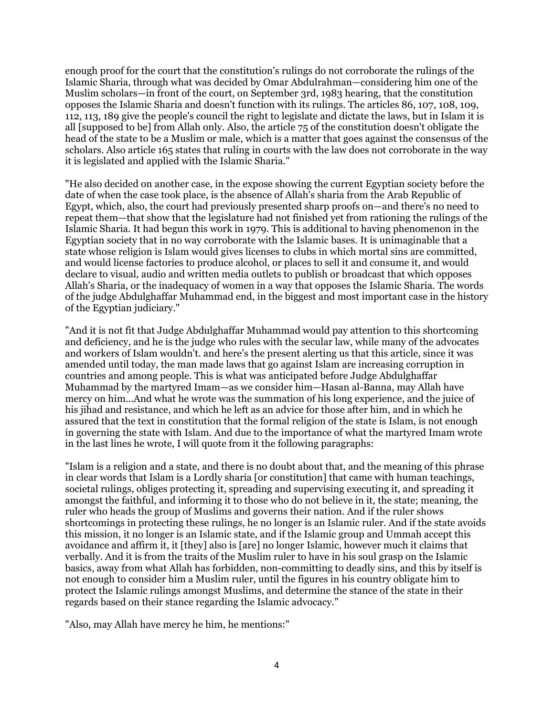enough proof for the court that the constitution's rulings do not corroborate the rulings of the Islamic Sharia, through what was decided by Omar Abdulrahman—considering him one of the Muslim scholars—in front of the court, on September 3rd, 1983 hearing, that the constitution opposes the Islamic Sharia and doesn't function with its rulings. The articles 86, 107, 108, 109, 112, 113, 189 give the people's council the right to legislate and dictate the laws, but in Islam it is all [supposed to be] from Allah only. Also, the article 75 of the constitution doesn't obligate the head of the state to be a Muslim or male, which is a matter that goes against the consensus of the scholars. Also article 165 states that ruling in courts with the law does not corroborate in the way it is legislated and applied with the Islamic Sharia."

"He also decided on another case, in the expose showing the current Egyptian society before the date of when the case took place, is the absence of Allah's sharia from the Arab Republic of Egypt, which, also, the court had previously presented sharp proofs on—and there's no need to repeat them—that show that the legislature had not finished yet from rationing the rulings of the Islamic Sharia. It had begun this work in 1979. This is additional to having phenomenon in the Egyptian society that in no way corroborate with the Islamic bases. It is unimaginable that a state whose religion is Islam would gives licenses to clubs in which mortal sins are committed, and would license factories to produce alcohol, or places to sell it and consume it, and would declare to visual, audio and written media outlets to publish or broadcast that which opposes Allah's Sharia, or the inadequacy of women in a way that opposes the Islamic Sharia. The words of the judge Abdulghaffar Muhammad end, in the biggest and most important case in the history of the Egyptian judiciary."

"And it is not fit that Judge Abdulghaffar Muhammad would pay attention to this shortcoming and deficiency, and he is the judge who rules with the secular law, while many of the advocates and workers of Islam wouldn't. and here's the present alerting us that this article, since it was amended until today, the man made laws that go against Islam are increasing corruption in countries and among people. This is what was anticipated before Judge Abdulghaffar Muhammad by the martyred Imam—as we consider him—Hasan al-Banna, may Allah have mercy on him...And what he wrote was the summation of his long experience, and the juice of his jihad and resistance, and which he left as an advice for those after him, and in which he assured that the text in constitution that the formal religion of the state is Islam, is not enough in governing the state with Islam. And due to the importance of what the martyred Imam wrote in the last lines he wrote, I will quote from it the following paragraphs:

"Islam is a religion and a state, and there is no doubt about that, and the meaning of this phrase in clear words that Islam is a Lordly sharia [or constitution] that came with human teachings, societal rulings, obliges protecting it, spreading and supervising executing it, and spreading it amongst the faithful, and informing it to those who do not believe in it, the state; meaning, the ruler who heads the group of Muslims and governs their nation. And if the ruler shows shortcomings in protecting these rulings, he no longer is an Islamic ruler. And if the state avoids this mission, it no longer is an Islamic state, and if the Islamic group and Ummah accept this avoidance and affirm it, it [they] also is [are] no longer Islamic, however much it claims that verbally. And it is from the traits of the Muslim ruler to have in his soul grasp on the Islamic basics, away from what Allah has forbidden, non-committing to deadly sins, and this by itself is not enough to consider him a Muslim ruler, until the figures in his country obligate him to protect the Islamic rulings amongst Muslims, and determine the stance of the state in their regards based on their stance regarding the Islamic advocacy."

"Also, may Allah have mercy he him, he mentions:"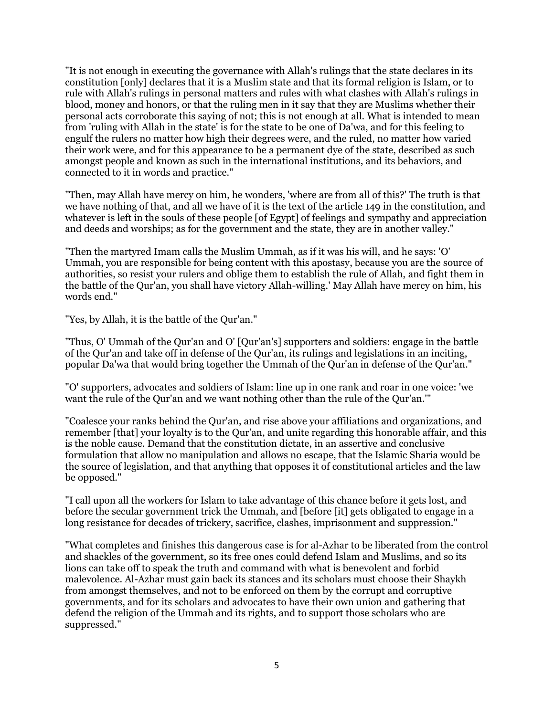"It is not enough in executing the governance with Allah's rulings that the state declares in its constitution [only] declares that it is a Muslim state and that its formal religion is Islam, or to rule with Allah's rulings in personal matters and rules with what clashes with Allah's rulings in blood, money and honors, or that the ruling men in it say that they are Muslims whether their personal acts corroborate this saying of not; this is not enough at all. What is intended to mean from 'ruling with Allah in the state' is for the state to be one of Da'wa, and for this feeling to engulf the rulers no matter how high their degrees were, and the ruled, no matter how varied their work were, and for this appearance to be a permanent dye of the state, described as such amongst people and known as such in the international institutions, and its behaviors, and connected to it in words and practice."

"Then, may Allah have mercy on him, he wonders, 'where are from all of this?' The truth is that we have nothing of that, and all we have of it is the text of the article 149 in the constitution, and whatever is left in the souls of these people [of Egypt] of feelings and sympathy and appreciation and deeds and worships; as for the government and the state, they are in another valley."

"Then the martyred Imam calls the Muslim Ummah, as if it was his will, and he says: 'O' Ummah, you are responsible for being content with this apostasy, because you are the source of authorities, so resist your rulers and oblige them to establish the rule of Allah, and fight them in the battle of the Qur'an, you shall have victory Allah-willing.' May Allah have mercy on him, his words end."

"Yes, by Allah, it is the battle of the Qur'an."

"Thus, O' Ummah of the Qur'an and O' [Qur'an's] supporters and soldiers: engage in the battle of the Qur'an and take off in defense of the Qur'an, its rulings and legislations in an inciting, popular Da'wa that would bring together the Ummah of the Qur'an in defense of the Qur'an."

"O' supporters, advocates and soldiers of Islam: line up in one rank and roar in one voice: 'we want the rule of the Qur'an and we want nothing other than the rule of the Qur'an.'"

"Coalesce your ranks behind the Qur'an, and rise above your affiliations and organizations, and remember [that] your loyalty is to the Qur'an, and unite regarding this honorable affair, and this is the noble cause. Demand that the constitution dictate, in an assertive and conclusive formulation that allow no manipulation and allows no escape, that the Islamic Sharia would be the source of legislation, and that anything that opposes it of constitutional articles and the law be opposed."

"I call upon all the workers for Islam to take advantage of this chance before it gets lost, and before the secular government trick the Ummah, and [before [it] gets obligated to engage in a long resistance for decades of trickery, sacrifice, clashes, imprisonment and suppression."

"What completes and finishes this dangerous case is for al-Azhar to be liberated from the control and shackles of the government, so its free ones could defend Islam and Muslims, and so its lions can take off to speak the truth and command with what is benevolent and forbid malevolence. Al-Azhar must gain back its stances and its scholars must choose their Shaykh from amongst themselves, and not to be enforced on them by the corrupt and corruptive governments, and for its scholars and advocates to have their own union and gathering that defend the religion of the Ummah and its rights, and to support those scholars who are suppressed."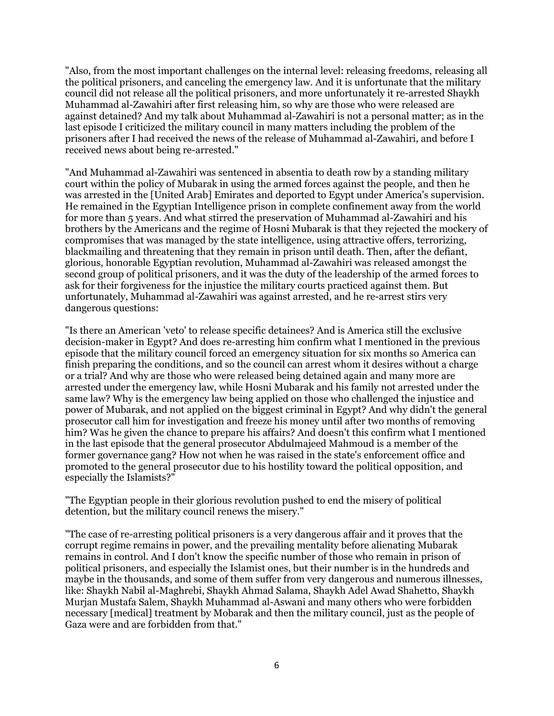"Also, from the most important challenges on the internal level: releasing freedoms, releasing all the political prisoners, and canceling the emergency law. And it is unfortunate that the military council did not release all the political prisoners, and more unfortunately it re-arrested Shaykh Muhammad al-Zawahiri after first releasing him, so why are those who were released are against detained? And my talk about Muhammad al-Zawahiri is not a personal matter; as in the last episode I criticized the military council in many matters including the problem of the prisoners after I had received the news of the release of Muhammad al-Zawahiri, and before I received news about being re-arrested."

"And Muhammad al-Zawahiri was sentenced in absentia to death row by a standing military court within the policy of Mubarak in using the armed forces against the people, and then he was arrested in the [United Arab] Emirates and deported to Egypt under America's supervision. He remained in the Egyptian Intelligence prison in complete confinement away from the world for more than 5 years. And what stirred the preservation of Muhammad al-Zawahiri and his brothers by the Americans and the regime of Hosni Mubarak is that they rejected the mockery of compromises that was managed by the state intelligence, using attractive offers, terrorizing, blackmailing and threatening that they remain in prison until death. Then, after the defiant, glorious, honorable Egyptian revolution, Muhammad al-Zawahiri was released amongst the second group of political prisoners, and it was the duty of the leadership of the armed forces to ask for their forgiveness for the injustice the military courts practiced against them. But unfortunately, Muhammad al-Zawahiri was against arrested, and he re-arrest stirs very dangerous questions:

"Is there an American 'veto' to release specific detainees? And is America still the exclusive decision-maker in Egypt? And does re-arresting him confirm what I mentioned in the previous episode that the military council forced an emergency situation for six months so America can finish preparing the conditions, and so the council can arrest whom it desires without a charge or a trial? And why are those who were released being detained again and many more are arrested under the emergency law, while Hosni Mubarak and his family not arrested under the same law? Why is the emergency law being applied on those who challenged the injustice and power of Mubarak, and not applied on the biggest criminal in Egypt? And why didn't the general prosecutor call him for investigation and freeze his money until after two months of removing him? Was he given the chance to prepare his affairs? And doesn't this confirm what I mentioned in the last episode that the general prosecutor Abdulmajeed Mahmoud is a member of the former governance gang? How not when he was raised in the state's enforcement office and promoted to the general prosecutor due to his hostility toward the political opposition, and especially the Islamists?"

"The Egyptian people in their glorious revolution pushed to end the misery of political detention, but the military council renews the misery."

"The case of re-arresting political prisoners is a very dangerous affair and it proves that the corrupt regime remains in power, and the prevailing mentality before alienating Mubarak remains in control. And I don't know the specific number of those who remain in prison of political prisoners, and especially the Islamist ones, but their number is in the hundreds and maybe in the thousands, and some of them suffer from very dangerous and numerous illnesses, like: Shaykh Nabil al-Maghrebi, Shaykh Ahmad Salama, Shaykh Adel Awad Shahetto, Shaykh Murjan Mustafa Salem, Shaykh Muhammad al-Aswani and many others who were forbidden necessary [medical] treatment by Mobarak and then the military council, just as the people of Gaza were and are forbidden from that."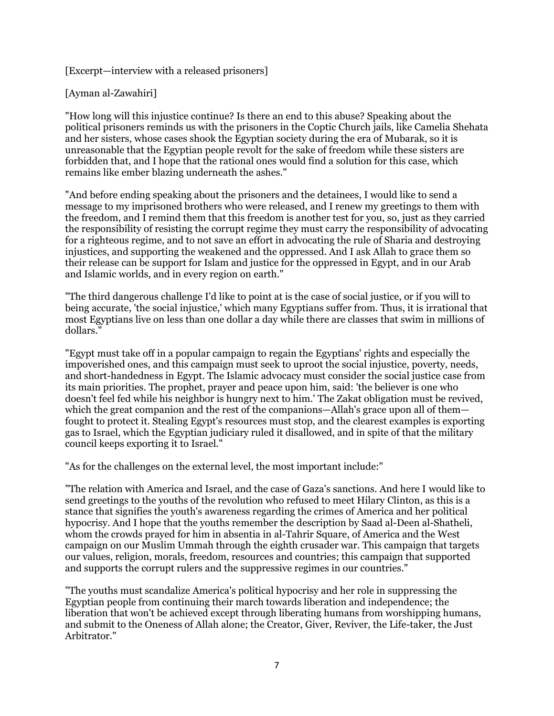[Excerpt—interview with a released prisoners]

[Ayman al-Zawahiri]

"How long will this injustice continue? Is there an end to this abuse? Speaking about the political prisoners reminds us with the prisoners in the Coptic Church jails, like Camelia Shehata and her sisters, whose cases shook the Egyptian society during the era of Mubarak, so it is unreasonable that the Egyptian people revolt for the sake of freedom while these sisters are forbidden that, and I hope that the rational ones would find a solution for this case, which remains like ember blazing underneath the ashes."

"And before ending speaking about the prisoners and the detainees, I would like to send a message to my imprisoned brothers who were released, and I renew my greetings to them with the freedom, and I remind them that this freedom is another test for you, so, just as they carried the responsibility of resisting the corrupt regime they must carry the responsibility of advocating for a righteous regime, and to not save an effort in advocating the rule of Sharia and destroying injustices, and supporting the weakened and the oppressed. And I ask Allah to grace them so their release can be support for Islam and justice for the oppressed in Egypt, and in our Arab and Islamic worlds, and in every region on earth."

"The third dangerous challenge I'd like to point at is the case of social justice, or if you will to being accurate, 'the social injustice,' which many Egyptians suffer from. Thus, it is irrational that most Egyptians live on less than one dollar a day while there are classes that swim in millions of dollars."

"Egypt must take off in a popular campaign to regain the Egyptians' rights and especially the impoverished ones, and this campaign must seek to uproot the social injustice, poverty, needs, and short-handedness in Egypt. The Islamic advocacy must consider the social justice case from its main priorities. The prophet, prayer and peace upon him, said: 'the believer is one who doesn't feel fed while his neighbor is hungry next to him.' The Zakat obligation must be revived, which the great companion and the rest of the companions—Allah's grace upon all of them fought to protect it. Stealing Egypt's resources must stop, and the clearest examples is exporting gas to Israel, which the Egyptian judiciary ruled it disallowed, and in spite of that the military council keeps exporting it to Israel."

"As for the challenges on the external level, the most important include:"

"The relation with America and Israel, and the case of Gaza's sanctions. And here I would like to send greetings to the youths of the revolution who refused to meet Hilary Clinton, as this is a stance that signifies the youth's awareness regarding the crimes of America and her political hypocrisy. And I hope that the youths remember the description by Saad al-Deen al-Shatheli, whom the crowds prayed for him in absentia in al-Tahrir Square, of America and the West campaign on our Muslim Ummah through the eighth crusader war. This campaign that targets our values, religion, morals, freedom, resources and countries; this campaign that supported and supports the corrupt rulers and the suppressive regimes in our countries."

"The youths must scandalize America's political hypocrisy and her role in suppressing the Egyptian people from continuing their march towards liberation and independence; the liberation that won't be achieved except through liberating humans from worshipping humans, and submit to the Oneness of Allah alone; the Creator, Giver, Reviver, the Life-taker, the Just Arbitrator."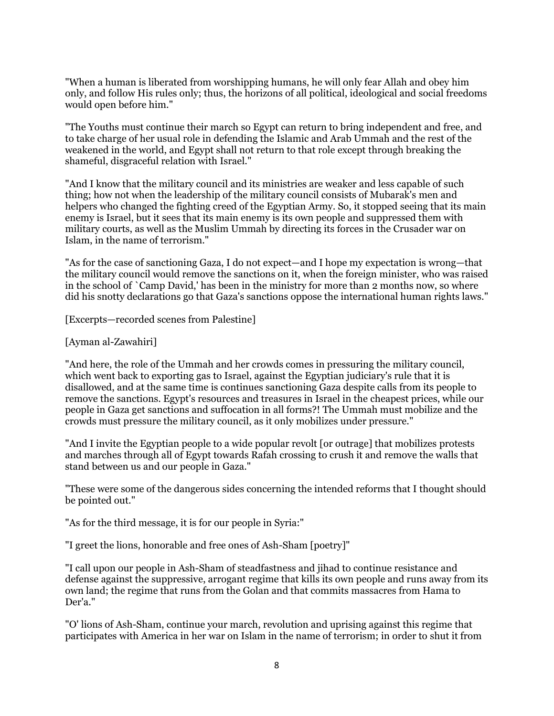"When a human is liberated from worshipping humans, he will only fear Allah and obey him only, and follow His rules only; thus, the horizons of all political, ideological and social freedoms would open before him."

"The Youths must continue their march so Egypt can return to bring independent and free, and to take charge of her usual role in defending the Islamic and Arab Ummah and the rest of the weakened in the world, and Egypt shall not return to that role except through breaking the shameful, disgraceful relation with Israel."

"And I know that the military council and its ministries are weaker and less capable of such thing; how not when the leadership of the military council consists of Mubarak's men and helpers who changed the fighting creed of the Egyptian Army. So, it stopped seeing that its main enemy is Israel, but it sees that its main enemy is its own people and suppressed them with military courts, as well as the Muslim Ummah by directing its forces in the Crusader war on Islam, in the name of terrorism."

"As for the case of sanctioning Gaza, I do not expect—and I hope my expectation is wrong—that the military council would remove the sanctions on it, when the foreign minister, who was raised in the school of `Camp David,' has been in the ministry for more than 2 months now, so where did his snotty declarations go that Gaza's sanctions oppose the international human rights laws."

[Excerpts—recorded scenes from Palestine]

[Ayman al-Zawahiri]

"And here, the role of the Ummah and her crowds comes in pressuring the military council, which went back to exporting gas to Israel, against the Egyptian judiciary's rule that it is disallowed, and at the same time is continues sanctioning Gaza despite calls from its people to remove the sanctions. Egypt's resources and treasures in Israel in the cheapest prices, while our people in Gaza get sanctions and suffocation in all forms?! The Ummah must mobilize and the crowds must pressure the military council, as it only mobilizes under pressure."

"And I invite the Egyptian people to a wide popular revolt [or outrage] that mobilizes protests and marches through all of Egypt towards Rafah crossing to crush it and remove the walls that stand between us and our people in Gaza."

"These were some of the dangerous sides concerning the intended reforms that I thought should be pointed out."

"As for the third message, it is for our people in Syria:"

"I greet the lions, honorable and free ones of Ash-Sham [poetry]"

"I call upon our people in Ash-Sham of steadfastness and jihad to continue resistance and defense against the suppressive, arrogant regime that kills its own people and runs away from its own land; the regime that runs from the Golan and that commits massacres from Hama to Der'a."

"O' lions of Ash-Sham, continue your march, revolution and uprising against this regime that participates with America in her war on Islam in the name of terrorism; in order to shut it from